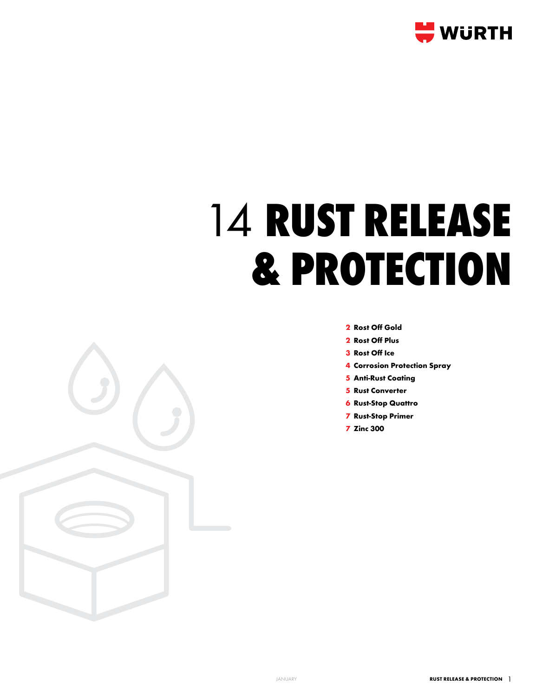

# **rust release & protection**

- **Rost Off Gold**
- **Rost Off Plus**
- **Rost Off Ice**
- **Corrosion Protection Spray**
- **Anti-Rust Coating**
- **Rust Converter**
- **Rust-Stop Quattro**
- **Rust-Stop Primer**
- **Zinc 300**

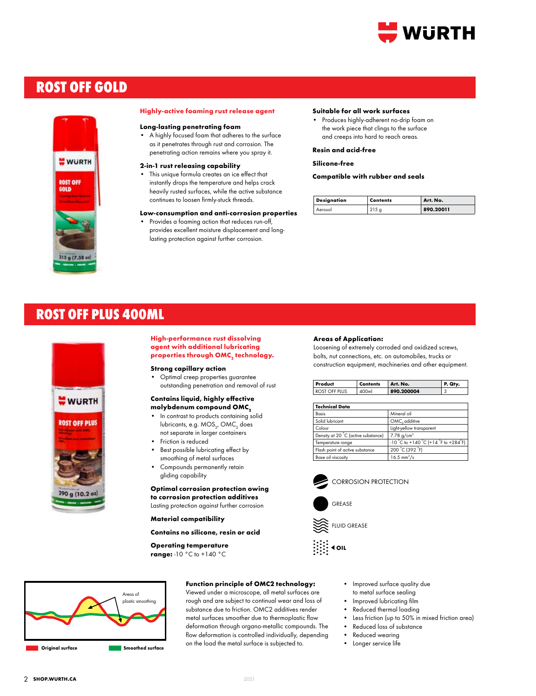

# **ROST OFF GOLD**



#### **Highly-active foaming rust release agent**

### **Long-lasting penetrating foam**

• A highly focused foam that adheres to the surface as it penetrates through rust and corrosion. The penetrating action remains where you spray it.

## **2-in-1 rust releasing capability**

This unique formula creates an ice effect that instantly drops the temperature and helps crack heavily rusted surfaces, while the active substance continues to loosen firmly-stuck threads.

#### **Low-consumption and anti-corrosion properties**

Provides a foaming action that reduces run-off, provides excellent moisture displacement and longlasting protection against further corrosion.

#### **Suitable for all work surfaces**

• Produces highly-adherent no-drip foam on the work piece that clings to the surface and creeps into hard to reach areas.

## **Resin and acid-free**

**Silicone-free**

**Compatible with rubber and seals**

| <b>Designation</b> | Contents | Art. No.  |
|--------------------|----------|-----------|
| Aerosol            |          | 890.20011 |

# **ROST OFF PLUS 400ml**



# **High-performance rust dissolving agent with additional lubricating properties through OMC2 technology.**

**Strong capillary action**

• Optimal creep properties guarantee outstanding penetration and removal of rust

# **Contains liquid, highly effective molybdenum compound OMC<sup>2</sup>**

- In contrast to products containing solid lubricants, e.g. MOS $_{\rm 2^\prime}$  OMC $_{\rm 2}$  does not separate in larger containers
- Friction is reduced
- Best possible lubricating effect by smoothing of metal surfaces
- Compounds permanently retain gliding capability

# **Optimal corrosion protection owing**

**to corrosion protection additives**  Lasting protection against further corrosion

## **Material compatibility**

**Contains no silicone, resin or acid**

# **Operating temperature**

**range:** -10 °C to +140 °C



# **Function principle of OMC2 technology:**

Viewed under a microscope, all metal surfaces are rough and are subject to continual wear and loss of substance due to friction. OMC2 additives render metal surfaces smoother due to thermoplastic flow deformation through organo-metallic compounds. The flow deformation is controlled individually, depending on the load the metal surface is subjected to.

#### **Areas of Application:**

Loosening of extremely corroded and oxidized screws, bolts, nut connections, etc. on automobiles, trucks or construction equipment, machineries and other equipment.

| Product       | <b>Contents</b> | Art. No.   | P. Qtv. |
|---------------|-----------------|------------|---------|
| ROST OFF PLUS | 400ml           | 890.200004 |         |

| <b>Technical Data</b>               |                                                |  |
|-------------------------------------|------------------------------------------------|--|
| Basis                               | Mineral oil                                    |  |
| Solid lubricant                     | OMC, additive                                  |  |
| Colour                              | Light-yellow transparent                       |  |
| Density at 20 °C (active substance) | 7.78 g/cm <sup>3</sup>                         |  |
| Temperature range                   | $-10$ °C to $+140$ °C ( $+14$ °F to $+284$ °F) |  |
| Flash point of active substance     | 200 °C (392 °F)                                |  |
| Base oil viscosity                  | $16.5 \text{ mm}^2/\text{s}$                   |  |





• Improved surface quality due

- to metal surface sealing
- Improved lubricating film
- Reduced thermal loading
- Less friction (up to 50% in mixed friction area)
- Reduced loss of substance Reduced wearing
- Longer service life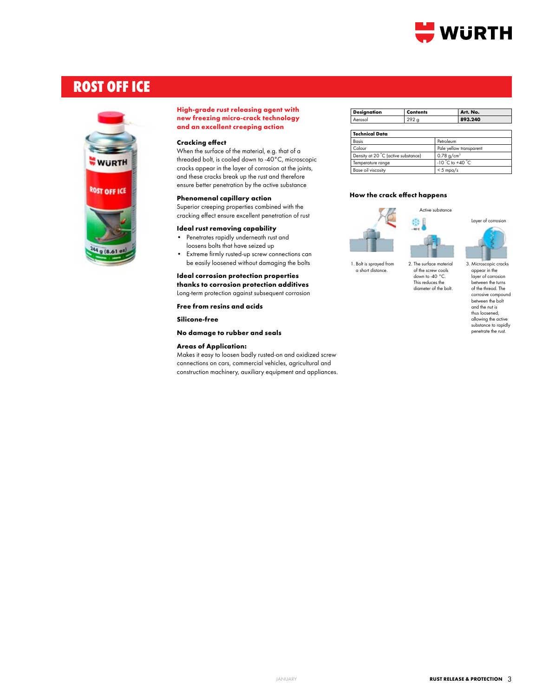

# **rost off ice**



# **High-grade rust releasing agent with new freezing micro-crack technology and an excellent creeping action**

# **Cracking effect**

When the surface of the material, e.g. that of a threaded bolt, is cooled down to -40°C, microscopic cracks appear in the layer of corrosion at the joints, and these cracks break up the rust and therefore ensure better penetration by the active substance

# **Phenomenal capillary action**

Superior creeping properties combined with the cracking effect ensure excellent penetration of rust

#### **Ideal rust removing capability**

- Penetrates rapidly underneath rust and loosens bolts that have seized up
- Extreme firmly rusted-up screw connections can be easily loosened without damaging the bolts

# **Ideal corrosion protection properties thanks to corrosion protection additives**

Long-term protection against subsequent corrosion

**Free from resins and acids**

**Silicone-free**

# **No damage to rubber and seals**

# **Areas of Application:**

Makes it easy to loosen badly rusted-on and oxidized screw connections on cars, commercial vehicles, agricultural and construction machinery, auxiliary equipment and appliances.

| <b>Designation</b> | <b>Contents</b> | Art. No. |
|--------------------|-----------------|----------|
| Aerosol            | റററ             | 893.240  |
|                    |                 |          |

| <b>Technical Data</b>               |                                    |
|-------------------------------------|------------------------------------|
| <b>Basis</b>                        | Petroleum                          |
| Colour                              | Pale yellow transparent            |
| Density at 20 °C (active substance) | $0.78$ g/cm <sup>3</sup>           |
| Temperature range                   | $-10^{\circ}$ C to $+40^{\circ}$ C |
| Base oil viscosity                  | $<$ 5 mpa/s                        |

# **How the crack effect happens**



1. Bolt is sprayed from a short distance.



This reduces the diameter of the bolt.



3. Microscopic cracks appear in the<br>layer of corrosion between the turns of the thread. The corrosive compound between the bolt and the nut is thus loosened, allowing the active substance to rapidly penetrate the rust.

Layer of corrosion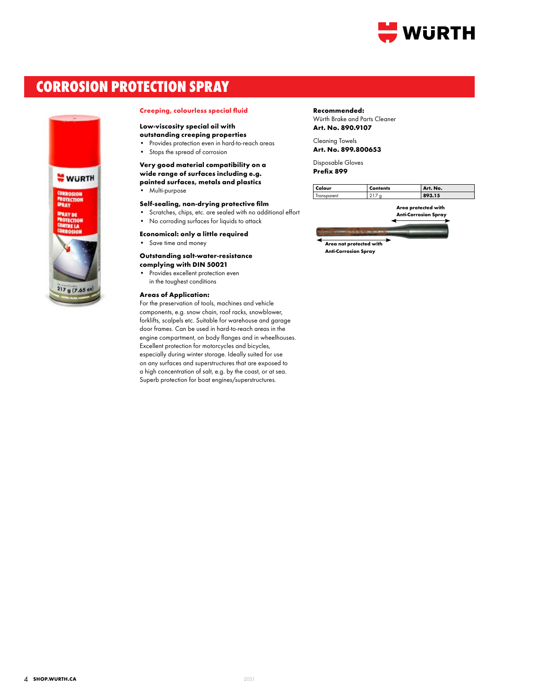

# **CORROSION PROTECTION SPRAY**



## **Creeping, colourless special fluid**

# **Low-viscosity special oil with**

**outstanding creeping properties**

- Provides protection even in hard-to-reach areas
- Stops the spread of corrosion

# **Very good material compatibility on a wide range of surfaces including e.g. painted surfaces, metals and plastics**

• Multi-purpose

# **Self-sealing, non-drying protective film**

- Scratches, chips, etc. are sealed with no additional effort
- No corroding surfaces for liquids to attack
- **Economical: only a little required**
- Save time and money

# **Outstanding salt-water-resistance**

# **complying with DIN 50021**

Provides excellent protection even in the toughest conditions

# **Areas of Application:**

For the preservation of tools, machines and vehicle components, e.g. snow chain, roof racks, snowblower, forklifts, scalpels etc. Suitable for warehouse and garage door frames. Can be used in hard-to-reach areas in the engine compartment, on body flanges and in wheelhouses. Excellent protection for motorcycles and bicycles, especially during winter storage. Ideally suited for use on any surfaces and superstructures that are exposed to a high concentration of salt, e.g. by the coast, or at sea. Superb protection for boat engines/superstructures.

#### **Recommended:**

Würth Brake and Parts Cleaner **Art. No. 890.9107**

Cleaning Towels **Art. No. 899.800653**

Disposable Gloves **Prefix 899**

| Colour | Contents | Art. No. |
|--------|----------|----------|
|        | .        | 15       |

**Area protected with Anti-Corrosion Spray**

**Area not protected with Anti-Corrosion Spray**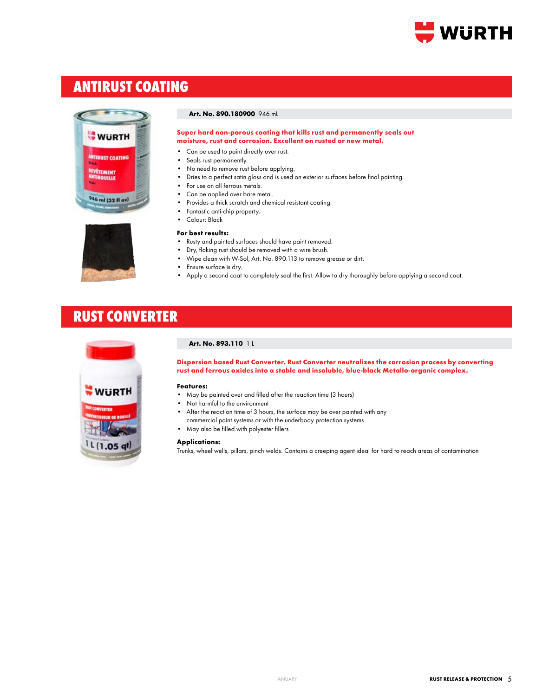

# **antirust coating**





**Super hard non-porous coating that kills rust and permanently seals out moisture, rust and corrosion. Excellent on rusted or new metal.** 

- Can be used to paint directly over rust.
- Seals rust permanently.
- No need to remove rust before applying.
- Dries to a perfect satin gloss and is used on exterior surfaces before final painting.
- For use on all ferrous metals.
- Can be applied over bare metal.
- Provides a thick scratch and chemical resistant coating.
- Fantastic anti-chip property.
- Colour: Black

# **For best results:**

- Rusty and painted surfaces should have paint removed.
- Dry, flaking rust should be removed with a wire brush.
- Wipe clean with W-Sol, Art. No. 890.113 to remove grease or dirt.
- Ensure surface is dry.
- Apply a second coat to completely seal the first. Allow to dry thoroughly before applying a second coat.

# **RUST CONVERTER**



# **Art. No. 893.110** 1 L

**Dispersion based Rust Converter. Rust Converter neutralizes the corrosion process by converting rust and ferrous oxides into a stable and insoluble, blue-black Metallo-organic complex.** 

#### **Features:**

- May be painted over and filled after the reaction time (3 hours)
- Not harmful to the environment
- After the reaction time of 3 hours, the surface may be over painted with any
- commercial paint systems or with the underbody protection systems
- May also be filled with polyester fillers

### **Applications:**

Trunks, wheel wells, pillars, pinch welds. Contains a creeping agent ideal for hard to reach areas of contamination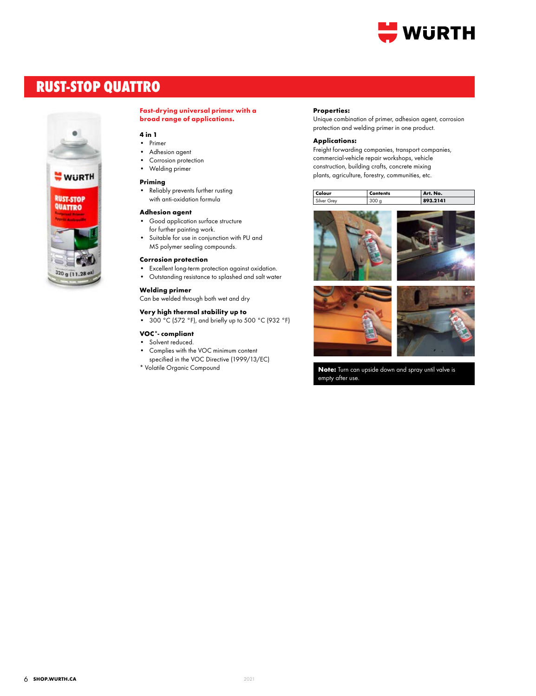

# **rust-stop quattro**



# **Fast-drying universal primer with a broad range of applications.**

# **4 in 1**

- Primer
- Adhesion agent
- Corrosion protection
- Welding primer

# **Priming**

• Reliably prevents further rusting with anti-oxidation formula

## **Adhesion agent**

- Good application surface structure for further painting work.
- Suitable for use in conjunction with PU and MS polymer sealing compounds.

# **Corrosion protection**

- Excellent long-term protection against oxidation.
- Outstanding resistance to splashed and salt water

# **Welding primer**

Can be welded through both wet and dry

# **Very high thermal stability up to**

• 300 °C (572 °F), and briefly up to 500 °C (932 °F)

# **VOC\*- compliant**

- Solvent reduced.
- Complies with the VOC minimum content specified in the VOC Directive (1999/13/EC)
- \* Volatile Organic Compound

#### **Properties:**

Unique combination of primer, adhesion agent, corrosion protection and welding primer in one product.

#### **Applications:**

Freight forwarding companies, transport companies, commercial-vehicle repair workshops, vehicle construction, building crafts, concrete mixing plants, agriculture, forestry, communities, etc.

| Colour               | Contents | No.<br>Art.        |
|----------------------|----------|--------------------|
| $\sim$<br><b>rev</b> |          | .2141<br>$\bullet$ |



**Note:** Turn can upside down and spray until valve is empty after use.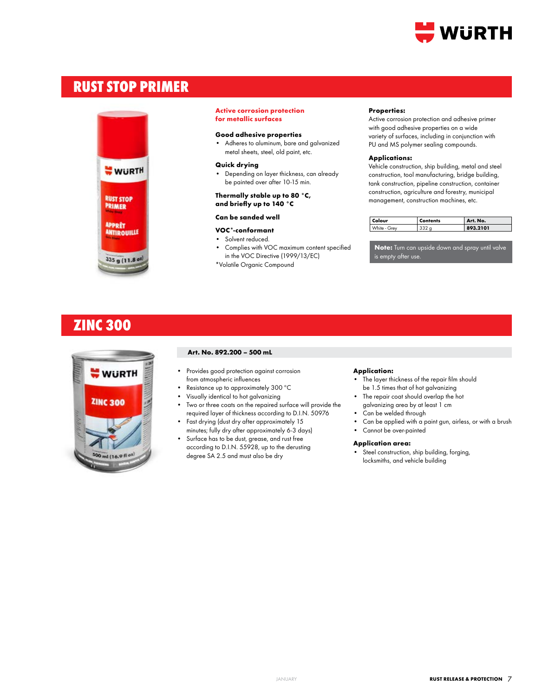

# **rust stop primer**



#### **Active corrosion protection for metallic surfaces**

# **Good adhesive properties**

• Adheres to aluminum, bare and galvanized metal sheets, steel, old paint, etc.

# **Quick drying**

• Depending on layer thickness, can already be painted over after 10-15 min.

### **Thermally stable up to 80 °C, and briefly up to 140 °C**

# **Can be sanded well**

- **VOC\*-conformant**
- Solvent reduced.
- Complies with VOC maximum content specified in the VOC Directive (1999/13/EC)
- \*Volatile Organic Compound

#### **Properties:**

Active corrosion protection and adhesive primer with good adhesive properties on a wide variety of surfaces, including in conjunction with PU and MS polymer sealing compounds.

## **Applications:**

Vehicle construction, ship building, metal and steel construction, tool manufacturing, bridge building, tank construction, pipeline construction, container construction, agriculture and forestry, municipal management, construction machines, etc.

| Colour       | <b>Contents</b> | Art. No. |
|--------------|-----------------|----------|
| White - Grev | つつつ             | 893.2101 |

**Note:** Turn can upside down and spray until valve is empty after use.

# **ZINC 300**



# **Art. No. 892.200 – 500 mL**

- Provides good protection against corrosion from atmospheric influences
- Resistance up to approximately 300 ºC
- Visually identical to hot galvanizing
- Two or three coats on the repaired surface will provide the required layer of thickness according to D.I.N. 50976
- Fast drying (dust dry after approximately 15 minutes; fully dry after approximately 6-3 days)
- Surface has to be dust, grease, and rust free according to D.I.N. 55928, up to the derusting degree SA 2.5 and must also be dry

#### **Application:**

- The layer thickness of the repair film should be 1.5 times that of hot galvanizing
- The repair coat should overlap the hot galvanizing area by at least 1 cm
- Can be welded through
- Can be applied with a paint gun, airless, or with a brush
- Cannot be over-painted

# **Application area:**

Steel construction, ship building, forging, locksmiths, and vehicle building